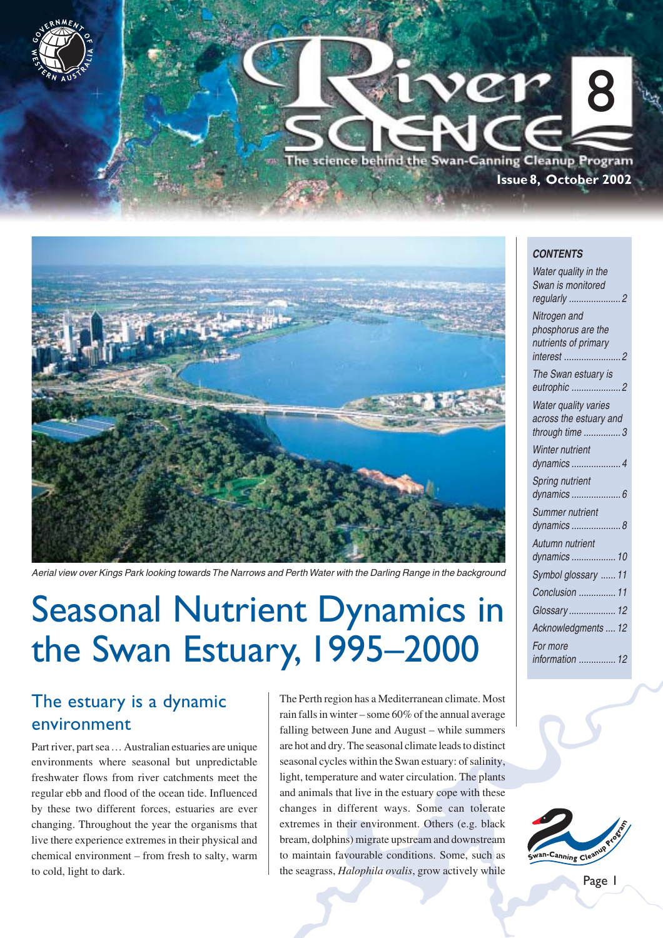



Aerial view over Kings Park looking towards The Narrows and Perth Water with the Darling Range in the background

# Seasonal Nutrient Dynamics in the Swan Estuary, 1995–2000

## The estuary is a dynamic environment

Part river, part sea… Australian estuaries are unique environments where seasonal but unpredictable freshwater flows from river catchments meet the regular ebb and flood of the ocean tide. Influenced by these two different forces, estuaries are ever changing. Throughout the year the organisms that live there experience extremes in their physical and chemical environment – from fresh to salty, warm to cold, light to dark.

The Perth region has a Mediterranean climate. Most rain falls in winter – some 60% of the annual average falling between June and August – while summers are hot and dry. The seasonal climate leads to distinct seasonal cycles within the Swan estuary: of salinity, light, temperature and water circulation. The plants and animals that live in the estuary cope with these changes in different ways. Some can tolerate extremes in their environment. Others (e.g. black bream, dolphins) migrate upstream and downstream to maintain favourable conditions. Some, such as the seagrass, *Halophila ovalis*, grow actively while

#### **CONTENTS**

| Water quality in the<br>Swan is monitored                                   |
|-----------------------------------------------------------------------------|
| 2<br>regularly                                                              |
| Nitrogen and<br>phosphorus are the<br>nutrients of primary<br>interest<br>2 |
| The Swan estuary is<br>eutrophic 2                                          |
| <b>Water quality varies</b><br>across the estuary and<br>through time 3     |
| <b>Winter nutrient</b><br>dynamics 4                                        |
| Spring nutrient<br>dynamics  6                                              |
| Summer nutrient<br>dynamics  8                                              |
| Autumn nutrient<br>dynamics  10                                             |
| Symbol glossary  11                                                         |
| Conclusion  11                                                              |
| Glossary 12                                                                 |
| Acknowledgments  12                                                         |
| For more<br>information  12                                                 |

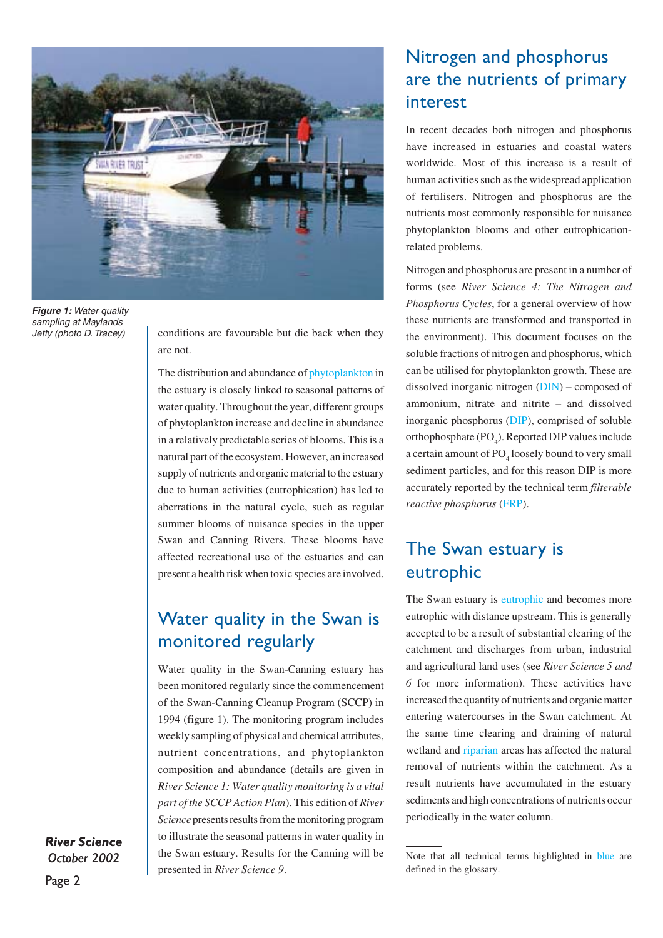

**Figure 1: Water quality** sampling at Maylands Jetty (photo D. Tracey)

conditions are favourable but die back when they are not.

The distribution and abundance of phytoplankton in the estuary is closely linked to seasonal patterns of water quality. Throughout the year, different groups of phytoplankton increase and decline in abundance in a relatively predictable series of blooms. This is a natural part of the ecosystem. However, an increased supply of nutrients and organic material to the estuary due to human activities (eutrophication) has led to aberrations in the natural cycle, such as regular summer blooms of nuisance species in the upper Swan and Canning Rivers. These blooms have affected recreational use of the estuaries and can present a health risk when toxic species are involved.

## Water quality in the Swan is monitored regularly

Water quality in the Swan-Canning estuary has been monitored regularly since the commencement of the Swan-Canning Cleanup Program (SCCP) in 1994 (figure 1). The monitoring program includes weekly sampling of physical and chemical attributes, nutrient concentrations, and phytoplankton composition and abundance (details are given in *River Science 1: Water quality monitoring is a vital part of the SCCP Action Plan*). This edition of *River Science* presents results from the monitoring program to illustrate the seasonal patterns in water quality in the Swan estuary. Results for the Canning will be presented in *River Science 9*.

## Nitrogen and phosphorus are the nutrients of primary interest

In recent decades both nitrogen and phosphorus have increased in estuaries and coastal waters worldwide. Most of this increase is a result of human activities such as the widespread application of fertilisers. Nitrogen and phosphorus are the nutrients most commonly responsible for nuisance phytoplankton blooms and other eutrophicationrelated problems.

Nitrogen and phosphorus are present in a number of forms (see *River Science 4: The Nitrogen and Phosphorus Cycles*, for a general overview of how these nutrients are transformed and transported in the environment). This document focuses on the soluble fractions of nitrogen and phosphorus, which can be utilised for phytoplankton growth. These are dissolved inorganic nitrogen (DIN) – composed of ammonium, nitrate and nitrite – and dissolved inorganic phosphorus (DIP), comprised of soluble orthophosphate  $(PO_4)$ . Reported DIP values include a certain amount of  $\text{PO}_4$  loosely bound to very small sediment particles, and for this reason DIP is more accurately reported by the technical term *filterable reactive phosphorus* (FRP).

## The Swan estuary is eutrophic

The Swan estuary is eutrophic and becomes more eutrophic with distance upstream. This is generally accepted to be a result of substantial clearing of the catchment and discharges from urban, industrial and agricultural land uses (see *River Science 5 and 6* for more information). These activities have increased the quantity of nutrients and organic matter entering watercourses in the Swan catchment. At the same time clearing and draining of natural wetland and riparian areas has affected the natural removal of nutrients within the catchment. As a result nutrients have accumulated in the estuary sediments and high concentrations of nutrients occur periodically in the water column.

Note that all technical terms highlighted in blue are defined in the glossary.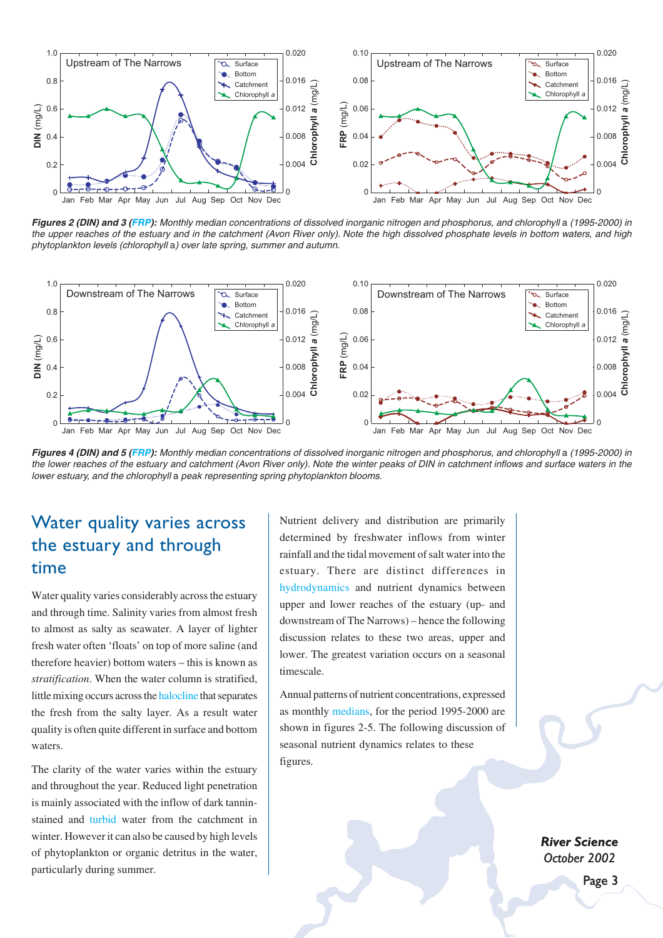

**Figures 2 (DIN) and 3 (FRP):** Monthly median concentrations of dissolved inorganic nitrogen and phosphorus, and chlorophyll a (1995-2000) in the upper reaches of the estuary and in the catchment (Avon River only). Note the high dissolved phosphate levels in bottom waters, and high phytoplankton levels (chlorophyll a) over late spring, summer and autumn.



**Figures 4 (DIN) and 5 (FRP):** Monthly median concentrations of dissolved inorganic nitrogen and phosphorus, and chlorophyll a (1995-2000) in the lower reaches of the estuary and catchment (Avon River only). Note the winter peaks of DIN in catchment inflows and surface waters in the lower estuary, and the chlorophyll a peak representing spring phytoplankton blooms.

### Water quality varies across the estuary and through time

Water quality varies considerably across the estuary and through time. Salinity varies from almost fresh to almost as salty as seawater. A layer of lighter fresh water often 'floats' on top of more saline (and therefore heavier) bottom waters – this is known as *stratification*. When the water column is stratified, little mixing occurs across the halocline that separates the fresh from the salty layer. As a result water quality is often quite different in surface and bottom waters.

The clarity of the water varies within the estuary and throughout the year. Reduced light penetration is mainly associated with the inflow of dark tanninstained and turbid water from the catchment in winter. However it can also be caused by high levels of phytoplankton or organic detritus in the water, particularly during summer.

Nutrient delivery and distribution are primarily determined by freshwater inflows from winter rainfall and the tidal movement of salt water into the estuary. There are distinct differences in hydrodynamics and nutrient dynamics between upper and lower reaches of the estuary (up- and downstream of The Narrows) – hence the following discussion relates to these two areas, upper and lower. The greatest variation occurs on a seasonal timescale.

Annual patterns of nutrient concentrations, expressed as monthly medians, for the period 1995-2000 are shown in figures 2-5. The following discussion of seasonal nutrient dynamics relates to these figures.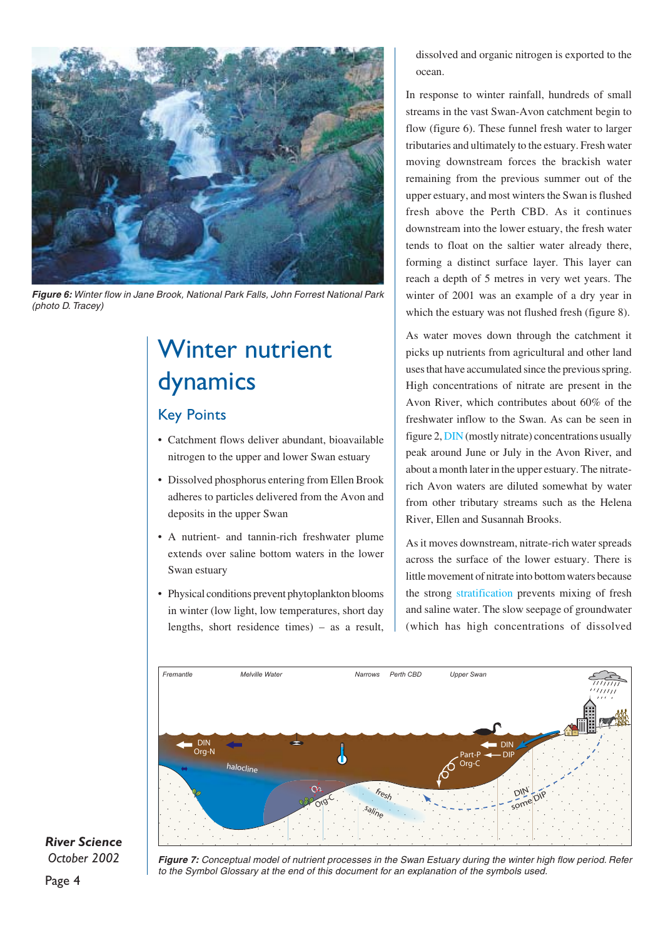

**Figure 6:** Winter flow in Jane Brook, National Park Falls, John Forrest National Park (photo D. Tracey)

## Winter nutrient dynamics

### Key Points

- Catchment flows deliver abundant, bioavailable nitrogen to the upper and lower Swan estuary
- Dissolved phosphorus entering from Ellen Brook adheres to particles delivered from the Avon and deposits in the upper Swan
- A nutrient- and tannin-rich freshwater plume extends over saline bottom waters in the lower Swan estuary
- Physical conditions prevent phytoplankton blooms in winter (low light, low temperatures, short day lengths, short residence times) – as a result,

dissolved and organic nitrogen is exported to the ocean.

In response to winter rainfall, hundreds of small streams in the vast Swan-Avon catchment begin to flow (figure 6). These funnel fresh water to larger tributaries and ultimately to the estuary. Fresh water moving downstream forces the brackish water remaining from the previous summer out of the upper estuary, and most winters the Swan is flushed fresh above the Perth CBD. As it continues downstream into the lower estuary, the fresh water tends to float on the saltier water already there, forming a distinct surface layer. This layer can reach a depth of 5 metres in very wet years. The winter of 2001 was an example of a dry year in which the estuary was not flushed fresh (figure 8).

As water moves down through the catchment it picks up nutrients from agricultural and other land uses that have accumulated since the previous spring. High concentrations of nitrate are present in the Avon River, which contributes about 60% of the freshwater inflow to the Swan. As can be seen in figure 2, DIN (mostly nitrate) concentrations usually peak around June or July in the Avon River, and about a month later in the upper estuary. The nitraterich Avon waters are diluted somewhat by water from other tributary streams such as the Helena River, Ellen and Susannah Brooks.

As it moves downstream, nitrate-rich water spreads across the surface of the lower estuary. There is little movement of nitrate into bottom waters because the strong stratification prevents mixing of fresh and saline water. The slow seepage of groundwater (which has high concentrations of dissolved



### *River Science October 2002*

Page 4

**Figure 7:** Conceptual model of nutrient processes in the Swan Estuary during the winter high flow period. Refer to the Symbol Glossary at the end of this document for an explanation of the symbols used.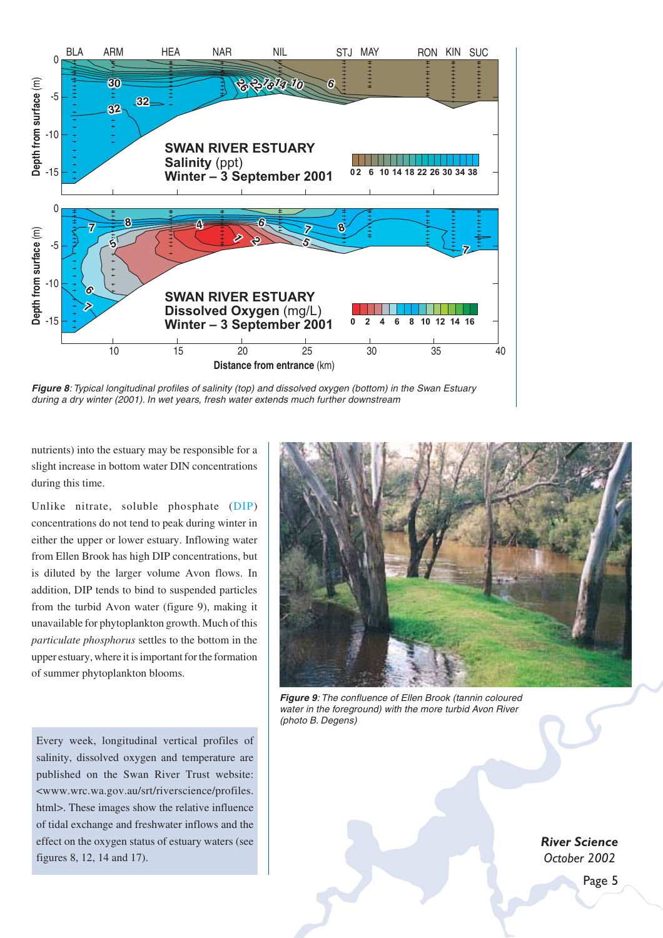

**Figure 8**: Typical longitudinal profiles of salinity (top) and dissolved oxygen (bottom) in the Swan Estuary during a dry winter (2001). In wet years, fresh water extends much further downstream

nutrients) into the estuary may be responsible for a slight increase in bottom water DIN concentrations during this time.

Unlike nitrate, soluble phosphate (DIP) concentrations do not tend to peak during winter in either the upper or lower estuary. Inflowing water from Ellen Brook has high DIP concentrations, but is diluted by the larger volume Avon flows. In addition, DIP tends to bind to suspended particles from the turbid Avon water (figure 9), making it unavailable for phytoplankton growth. Much of this *particulate phosphorus* settles to the bottom in the upper estuary, where it is important for the formation of summer phytoplankton blooms.

Every week, longitudinal vertical profiles of salinity, dissolved oxygen and temperature are published on the Swan River Trust website: <www.wrc.wa.gov.au/srt/riverscience/profiles. html>. These images show the relative influence of tidal exchange and freshwater inflows and the effect on the oxygen status of estuary waters (see figures 8, 12, 14 and 17).



**Figure 9**: The confluence of Ellen Brook (tannin coloured water in the foreground) with the more turbid Avon River (photo B. Degens)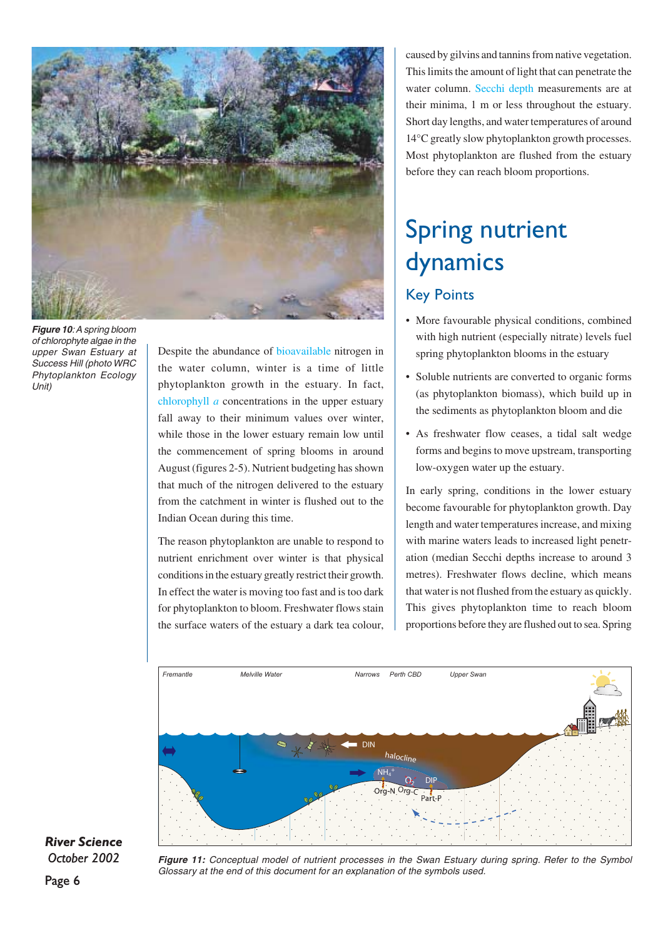

**Figure 10**: A spring bloom of chlorophyte algae in the upper Swan Estuary at Success Hill (photo WRC Phytoplankton Ecology Unit)

Despite the abundance of bioavailable nitrogen in the water column, winter is a time of little phytoplankton growth in the estuary. In fact, chlorophyll *a* concentrations in the upper estuary fall away to their minimum values over winter, while those in the lower estuary remain low until the commencement of spring blooms in around August (figures 2-5). Nutrient budgeting has shown that much of the nitrogen delivered to the estuary from the catchment in winter is flushed out to the Indian Ocean during this time.

The reason phytoplankton are unable to respond to nutrient enrichment over winter is that physical conditions in the estuary greatly restrict their growth. In effect the water is moving too fast and is too dark for phytoplankton to bloom. Freshwater flows stain the surface waters of the estuary a dark tea colour,

caused by gilvins and tannins from native vegetation. This limits the amount of light that can penetrate the water column. Secchi depth measurements are at their minima, 1 m or less throughout the estuary. Short day lengths, and water temperatures of around 14°C greatly slow phytoplankton growth processes. Most phytoplankton are flushed from the estuary before they can reach bloom proportions.

# Spring nutrient dynamics

### Key Points

- More favourable physical conditions, combined with high nutrient (especially nitrate) levels fuel spring phytoplankton blooms in the estuary
- Soluble nutrients are converted to organic forms (as phytoplankton biomass), which build up in the sediments as phytoplankton bloom and die
- As freshwater flow ceases, a tidal salt wedge forms and begins to move upstream, transporting low-oxygen water up the estuary.

In early spring, conditions in the lower estuary become favourable for phytoplankton growth. Day length and water temperatures increase, and mixing with marine waters leads to increased light penetration (median Secchi depths increase to around 3 metres). Freshwater flows decline, which means that water is not flushed from the estuary as quickly. This gives phytoplankton time to reach bloom proportions before they are flushed out to sea. Spring



*River Science October 2002*

Figure 11: Conceptual model of nutrient processes in the Swan Estuary during spring. Refer to the Symbol Glossary at the end of this document for an explanation of the symbols used.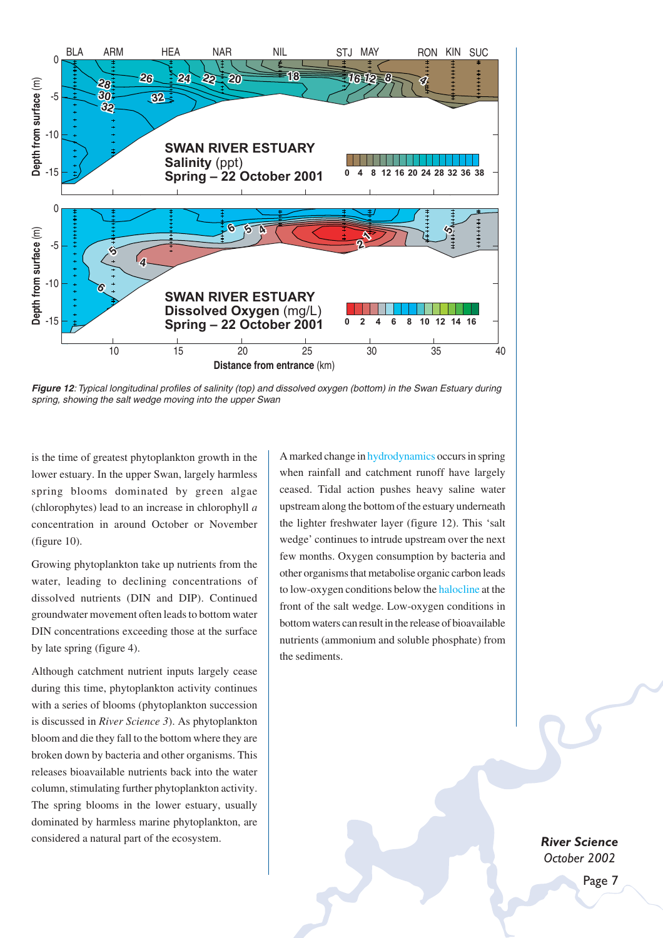

**Figure 12**: Typical longitudinal profiles of salinity (top) and dissolved oxygen (bottom) in the Swan Estuary during spring, showing the salt wedge moving into the upper Swan

is the time of greatest phytoplankton growth in the lower estuary. In the upper Swan, largely harmless spring blooms dominated by green algae (chlorophytes) lead to an increase in chlorophyll *a* concentration in around October or November (figure 10).

Growing phytoplankton take up nutrients from the water, leading to declining concentrations of dissolved nutrients (DIN and DIP). Continued groundwater movement often leads to bottom water DIN concentrations exceeding those at the surface by late spring (figure 4).

Although catchment nutrient inputs largely cease during this time, phytoplankton activity continues with a series of blooms (phytoplankton succession is discussed in *River Science 3*). As phytoplankton bloom and die they fall to the bottom where they are broken down by bacteria and other organisms. This releases bioavailable nutrients back into the water column, stimulating further phytoplankton activity. The spring blooms in the lower estuary, usually dominated by harmless marine phytoplankton, are considered a natural part of the ecosystem.

A marked change in hydrodynamics occurs in spring when rainfall and catchment runoff have largely ceased. Tidal action pushes heavy saline water upstream along the bottom of the estuary underneath the lighter freshwater layer (figure 12). This 'salt wedge' continues to intrude upstream over the next few months. Oxygen consumption by bacteria and other organisms that metabolise organic carbon leads to low-oxygen conditions below the halocline at the front of the salt wedge. Low-oxygen conditions in bottom waters can result in the release of bioavailable nutrients (ammonium and soluble phosphate) from the sediments.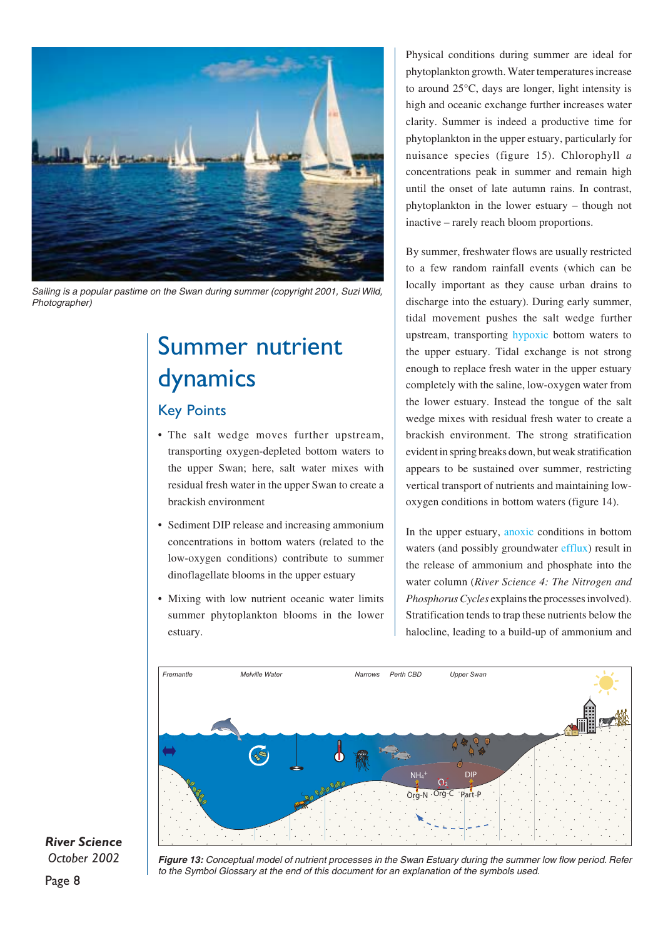

Sailing is a popular pastime on the Swan during summer (copyright 2001, Suzi Wild, Photographer)

## Summer nutrient dynamics

### Key Points

- The salt wedge moves further upstream, transporting oxygen-depleted bottom waters to the upper Swan; here, salt water mixes with residual fresh water in the upper Swan to create a brackish environment
- Sediment DIP release and increasing ammonium concentrations in bottom waters (related to the low-oxygen conditions) contribute to summer dinoflagellate blooms in the upper estuary
- Mixing with low nutrient oceanic water limits summer phytoplankton blooms in the lower estuary.

Physical conditions during summer are ideal for phytoplankton growth. Water temperatures increase to around 25°C, days are longer, light intensity is high and oceanic exchange further increases water clarity. Summer is indeed a productive time for phytoplankton in the upper estuary, particularly for nuisance species (figure 15). Chlorophyll *a* concentrations peak in summer and remain high until the onset of late autumn rains. In contrast, phytoplankton in the lower estuary – though not inactive – rarely reach bloom proportions.

By summer, freshwater flows are usually restricted to a few random rainfall events (which can be locally important as they cause urban drains to discharge into the estuary). During early summer, tidal movement pushes the salt wedge further upstream, transporting hypoxic bottom waters to the upper estuary. Tidal exchange is not strong enough to replace fresh water in the upper estuary completely with the saline, low-oxygen water from the lower estuary. Instead the tongue of the salt wedge mixes with residual fresh water to create a brackish environment. The strong stratification evident in spring breaks down, but weak stratification appears to be sustained over summer, restricting vertical transport of nutrients and maintaining lowoxygen conditions in bottom waters (figure 14).

In the upper estuary, anoxic conditions in bottom waters (and possibly groundwater efflux) result in the release of ammonium and phosphate into the water column (*River Science 4: The Nitrogen and Phosphorus Cycles* explains the processes involved). Stratification tends to trap these nutrients below the halocline, leading to a build-up of ammonium and



*River Science October 2002*

**Figure 13:** Conceptual model of nutrient processes in the Swan Estuary during the summer low flow period. Refer to the Symbol Glossary at the end of this document for an explanation of the symbols used.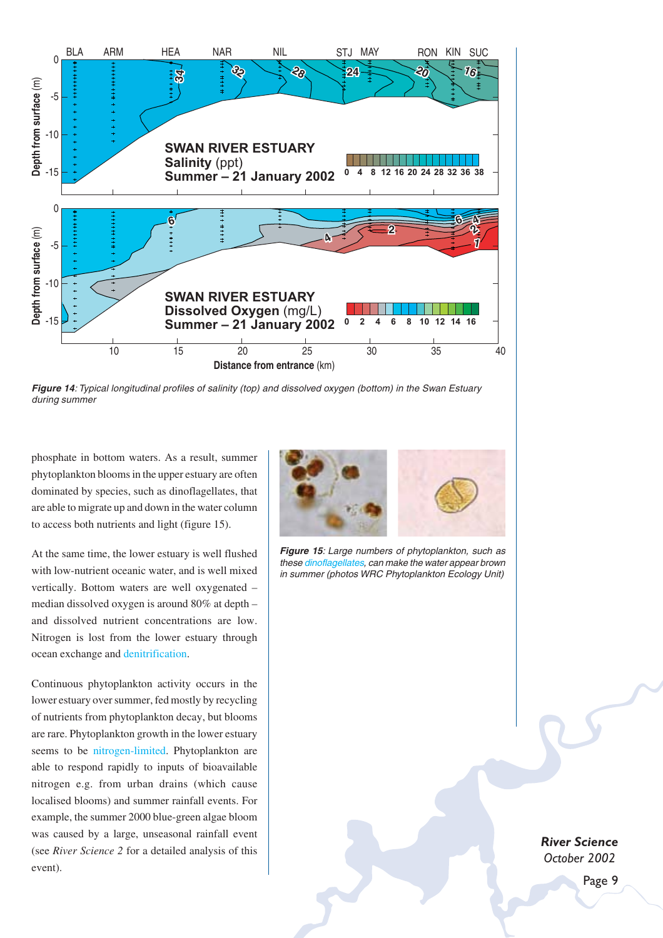

**Figure 14**: Typical longitudinal profiles of salinity (top) and dissolved oxygen (bottom) in the Swan Estuary during summer

phosphate in bottom waters. As a result, summer phytoplankton blooms in the upper estuary are often dominated by species, such as dinoflagellates, that are able to migrate up and down in the water column to access both nutrients and light (figure 15).

At the same time, the lower estuary is well flushed with low-nutrient oceanic water, and is well mixed vertically. Bottom waters are well oxygenated – median dissolved oxygen is around 80% at depth – and dissolved nutrient concentrations are low. Nitrogen is lost from the lower estuary through ocean exchange and denitrification.

Continuous phytoplankton activity occurs in the lower estuary over summer, fed mostly by recycling of nutrients from phytoplankton decay, but blooms are rare. Phytoplankton growth in the lower estuary seems to be nitrogen-limited. Phytoplankton are able to respond rapidly to inputs of bioavailable nitrogen e.g. from urban drains (which cause localised blooms) and summer rainfall events. For example, the summer 2000 blue-green algae bloom was caused by a large, unseasonal rainfall event (see *River Science 2* for a detailed analysis of this event).



**Figure 15**: Large numbers of phytoplankton, such as these dinoflagellates, can make the water appear brown

in summer (photos WRC Phytoplankton Ecology Unit)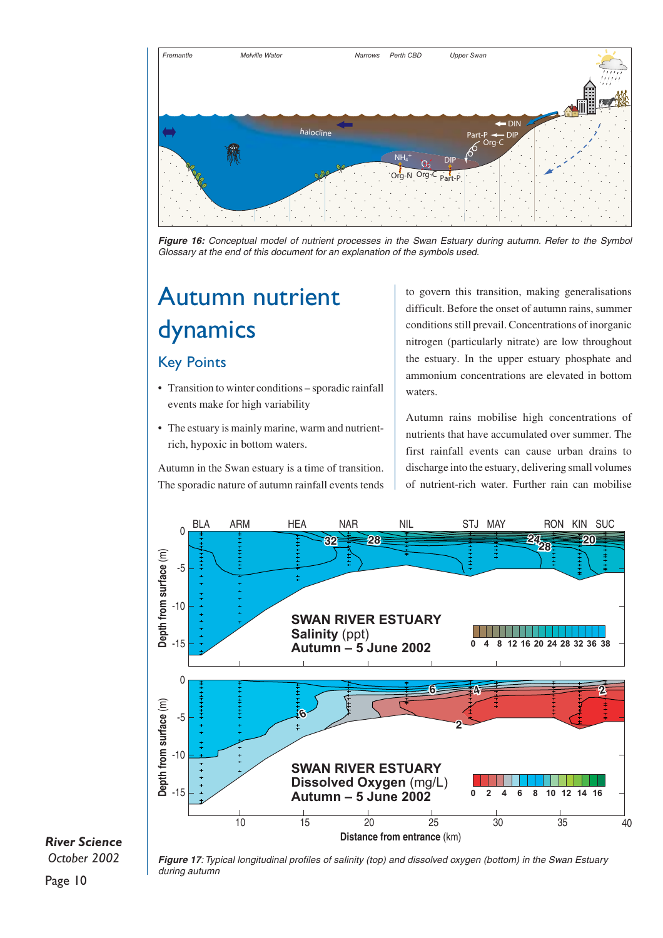

**Figure 16:** Conceptual model of nutrient processes in the Swan Estuary during autumn. Refer to the Symbol Glossary at the end of this document for an explanation of the symbols used.

## Autumn nutrient dynamics

#### Key Points

- Transition to winter conditions sporadic rainfall events make for high variability
- The estuary is mainly marine, warm and nutrientrich, hypoxic in bottom waters.

Autumn in the Swan estuary is a time of transition. The sporadic nature of autumn rainfall events tends

to govern this transition, making generalisations difficult. Before the onset of autumn rains, summer conditions still prevail. Concentrations of inorganic nitrogen (particularly nitrate) are low throughout the estuary. In the upper estuary phosphate and ammonium concentrations are elevated in bottom waters.

Autumn rains mobilise high concentrations of nutrients that have accumulated over summer. The first rainfall events can cause urban drains to discharge into the estuary, delivering small volumes of nutrient-rich water. Further rain can mobilise



### *River Science*



**Figure 17**: Typical longitudinal profiles of salinity (top) and dissolved oxygen (bottom) in the Swan Estuary during autumn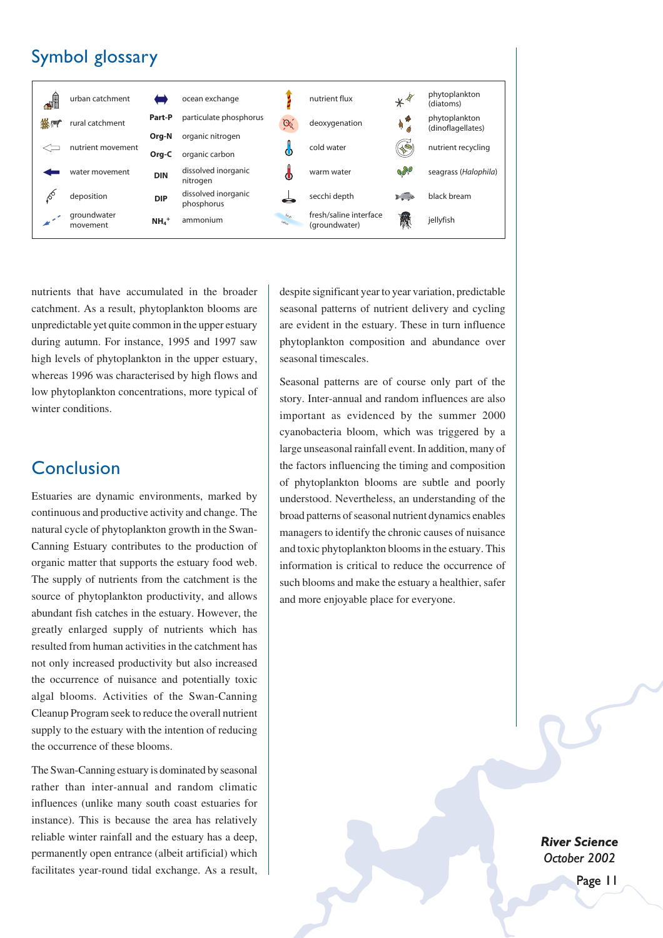## Symbol glossary



nutrients that have accumulated in the broader catchment. As a result, phytoplankton blooms are unpredictable yet quite common in the upper estuary during autumn. For instance, 1995 and 1997 saw high levels of phytoplankton in the upper estuary, whereas 1996 was characterised by high flows and low phytoplankton concentrations, more typical of winter conditions.

### Conclusion

Estuaries are dynamic environments, marked by continuous and productive activity and change. The natural cycle of phytoplankton growth in the Swan-Canning Estuary contributes to the production of organic matter that supports the estuary food web. The supply of nutrients from the catchment is the source of phytoplankton productivity, and allows abundant fish catches in the estuary. However, the greatly enlarged supply of nutrients which has resulted from human activities in the catchment has not only increased productivity but also increased the occurrence of nuisance and potentially toxic algal blooms. Activities of the Swan-Canning Cleanup Program seek to reduce the overall nutrient supply to the estuary with the intention of reducing the occurrence of these blooms.

The Swan-Canning estuary is dominated by seasonal rather than inter-annual and random climatic influences (unlike many south coast estuaries for instance). This is because the area has relatively reliable winter rainfall and the estuary has a deep, permanently open entrance (albeit artificial) which facilitates year-round tidal exchange. As a result,

despite significant year to year variation, predictable seasonal patterns of nutrient delivery and cycling are evident in the estuary. These in turn influence phytoplankton composition and abundance over seasonal timescales.

Seasonal patterns are of course only part of the story. Inter-annual and random influences are also important as evidenced by the summer 2000 cyanobacteria bloom, which was triggered by a large unseasonal rainfall event. In addition, many of the factors influencing the timing and composition of phytoplankton blooms are subtle and poorly understood. Nevertheless, an understanding of the broad patterns of seasonal nutrient dynamics enables managers to identify the chronic causes of nuisance and toxic phytoplankton blooms in the estuary. This information is critical to reduce the occurrence of such blooms and make the estuary a healthier, safer and more enjoyable place for everyone.